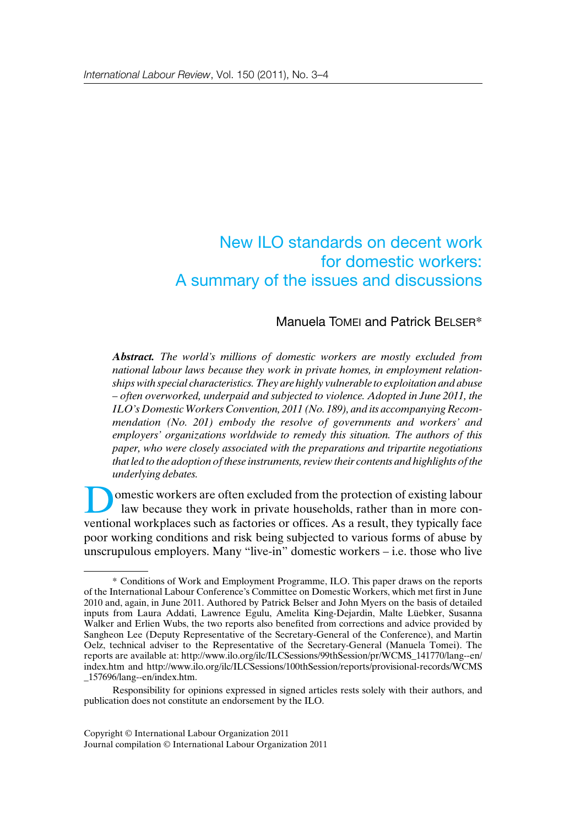# New ILO standards on decent work for domestic workers: A summary of the issues and discussions

#### Manuela TOMEL and Patrick BELSER\*

*Abstract. The world's millions of domestic workers are mostly excluded from national labour laws because they work in private homes, in employment relationships with special characteristics. They are highly vulnerable to exploitation and abuse – often overworked, underpaid and subjected to violence. Adopted in June 2011, the ILO's Domestic Workers Convention, 2011 (No. 189), and its accompanying Recommendation (No. 201) embody the resolve of governments and workers' and employers' organizations worldwide to remedy this situation. The authors of this paper, who were closely associated with the preparations and tripartite negotiations that led to the adoption of these instruments, review their contents and highlights of the underlying debates.*

**Domestic workers are often excluded from the protection of existing labour**<br>law because they work in private households, rather than in more con-<br>protional working such as factories are offices. As a gravit, they tunisely ventional workplaces such as factories or offices. As a result, they typically face poor working conditions and risk being subjected to various forms of abuse by unscrupulous employers. Many "live-in" domestic workers – i.e. those who live

<sup>\*</sup> Conditions of Work and Employment Programme, ILO. This paper draws on the reports of the International Labour Conference's Committee on Domestic Workers, which met first in June 2010 and, again, in June 2011. Authored by Patrick Belser and John Myers on the basis of detailed inputs from Laura Addati, Lawrence Egulu, Amelita King-Dejardin, Malte Lüebker, Susanna Walker and Erlien Wubs, the two reports also benefited from corrections and advice provided by Sangheon Lee (Deputy Representative of the Secretary-General of the Conference), and Martin Oelz, technical adviser to the Representative of the Secretary-General (Manuela Tomei). The reports are available at: http://www.ilo.org/ilc/ILCSessions/99thSession/pr/WCMS\_141770/lang--en/ index.htm and http://www.ilo.org/ilc/ILCSessions/100thSession/reports/provisional-records/WCMS \_157696/lang--en/index.htm.

Responsibility for opinions expressed in signed articles rests solely with their authors, and publication does not constitute an endorsement by the ILO.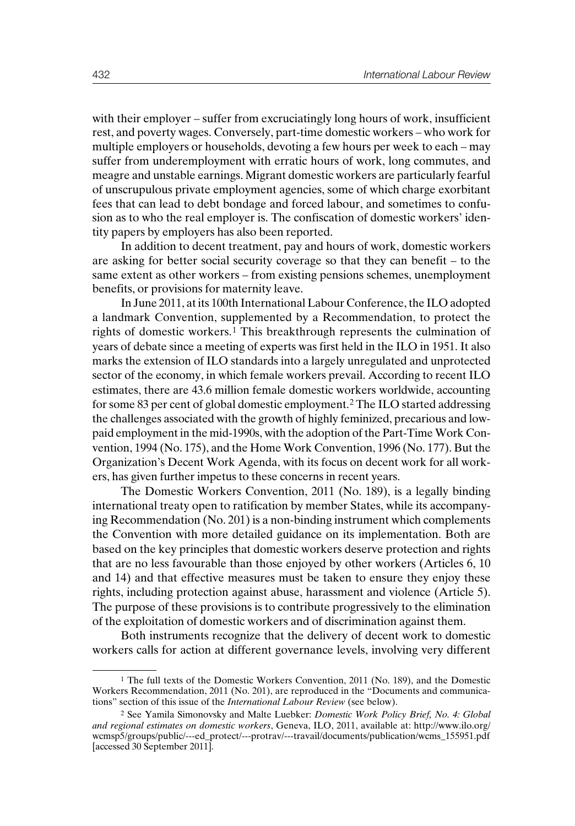with their employer – suffer from excruciatingly long hours of work, insufficient rest, and poverty wages. Conversely, part-time domestic workers – who work for multiple employers or households, devoting a few hours per week to each – may suffer from underemployment with erratic hours of work, long commutes, and meagre and unstable earnings. Migrant domestic workers are particularly fearful of unscrupulous private employment agencies, some of which charge exorbitant fees that can lead to debt bondage and forced labour, and sometimes to confusion as to who the real employer is. The confiscation of domestic workers' identity papers by employers has also been reported.

In addition to decent treatment, pay and hours of work, domestic workers are asking for better social security coverage so that they can benefit – to the same extent as other workers – from existing pensions schemes, unemployment benefits, or provisions for maternity leave.

In June 2011, at its 100th International Labour Conference, the ILO adopted a landmark Convention, supplemented by a Recommendation, to protect the rights of domestic workers.1 This breakthrough represents the culmination of years of debate since a meeting of experts was first held in the ILO in 1951. It also marks the extension of ILO standards into a largely unregulated and unprotected sector of the economy, in which female workers prevail. According to recent ILO estimates, there are 43.6 million female domestic workers worldwide, accounting for some 83 per cent of global domestic employment.2 The ILO started addressing the challenges associated with the growth of highly feminized, precarious and lowpaid employment in the mid-1990s, with the adoption of the Part-Time Work Convention, 1994 (No. 175), and the Home Work Convention, 1996 (No. 177). But the Organization's Decent Work Agenda, with its focus on decent work for all workers, has given further impetus to these concerns in recent years.

The Domestic Workers Convention, 2011 (No. 189), is a legally binding international treaty open to ratification by member States, while its accompanying Recommendation (No. 201) is a non-binding instrument which complements the Convention with more detailed guidance on its implementation. Both are based on the key principles that domestic workers deserve protection and rights that are no less favourable than those enjoyed by other workers (Articles 6, 10 and 14) and that effective measures must be taken to ensure they enjoy these rights, including protection against abuse, harassment and violence (Article 5). The purpose of these provisions is to contribute progressively to the elimination of the exploitation of domestic workers and of discrimination against them.

Both instruments recognize that the delivery of decent work to domestic workers calls for action at different governance levels, involving very different

<sup>&</sup>lt;sup>1</sup> The full texts of the Domestic Workers Convention, 2011 (No. 189), and the Domestic Workers Recommendation, 2011 (No. 201), are reproduced in the "Documents and communications" section of this issue of the *International Labour Review* (see below).

<sup>2</sup> See Yamila Simonovsky and Malte Luebker: *Domestic Work Policy Brief, No. 4: Global and regional estimates on domestic workers*, Geneva, ILO, 2011, available at: http://www.ilo.org/ wcmsp5/groups/public/---ed\_protect/---protrav/---travail/documents/publication/wcms\_155951.pdf [accessed 30 September 2011].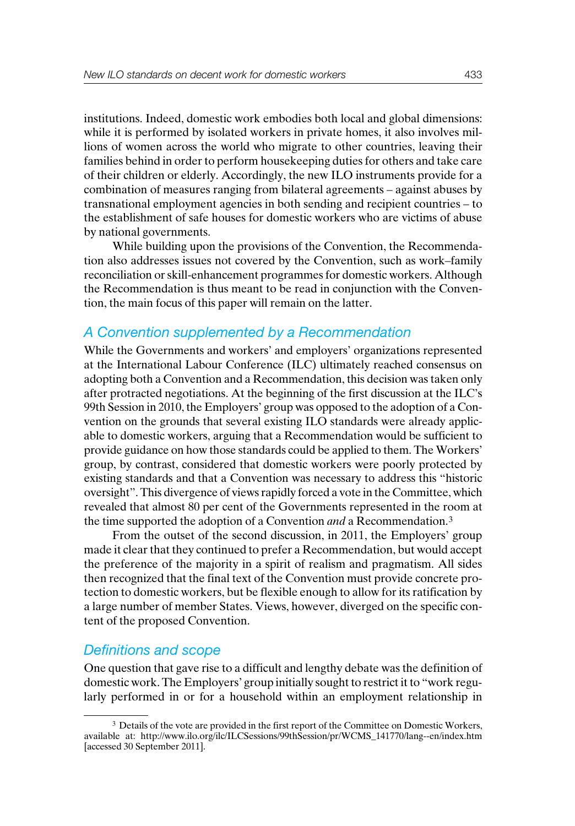institutions. Indeed, domestic work embodies both local and global dimensions: while it is performed by isolated workers in private homes, it also involves millions of women across the world who migrate to other countries, leaving their families behind in order to perform housekeeping duties for others and take care of their children or elderly. Accordingly, the new ILO instruments provide for a combination of measures ranging from bilateral agreements – against abuses by transnational employment agencies in both sending and recipient countries – to the establishment of safe houses for domestic workers who are victims of abuse by national governments.

While building upon the provisions of the Convention, the Recommendation also addresses issues not covered by the Convention, such as work–family reconciliation or skill-enhancement programmes for domestic workers. Although the Recommendation is thus meant to be read in conjunction with the Convention, the main focus of this paper will remain on the latter.

#### A Convention supplemented by a Recommendation

While the Governments and workers' and employers' organizations represented at the International Labour Conference (ILC) ultimately reached consensus on adopting both a Convention and a Recommendation, this decision was taken only after protracted negotiations. At the beginning of the first discussion at the ILC's 99th Session in 2010, the Employers' group was opposed to the adoption of a Convention on the grounds that several existing ILO standards were already applicable to domestic workers, arguing that a Recommendation would be sufficient to provide guidance on how those standards could be applied to them. The Workers' group, by contrast, considered that domestic workers were poorly protected by existing standards and that a Convention was necessary to address this "historic oversight". This divergence of views rapidly forced a vote in the Committee, which revealed that almost 80 per cent of the Governments represented in the room at the time supported the adoption of a Convention *and* a Recommendation.3

From the outset of the second discussion, in 2011, the Employers' group made it clear that they continued to prefer a Recommendation, but would accept the preference of the majority in a spirit of realism and pragmatism. All sides then recognized that the final text of the Convention must provide concrete protection to domestic workers, but be flexible enough to allow for its ratification by a large number of member States. Views, however, diverged on the specific content of the proposed Convention.

#### Definitions and scope

One question that gave rise to a difficult and lengthy debate was the definition of domestic work. The Employers' group initially sought to restrict it to "work regularly performed in or for a household within an employment relationship in

<sup>3</sup> Details of the vote are provided in the first report of the Committee on Domestic Workers, available at: http://www.ilo.org/ilc/ILCSessions/99thSession/pr/WCMS\_141770/lang--en/index.htm [accessed 30 September 2011].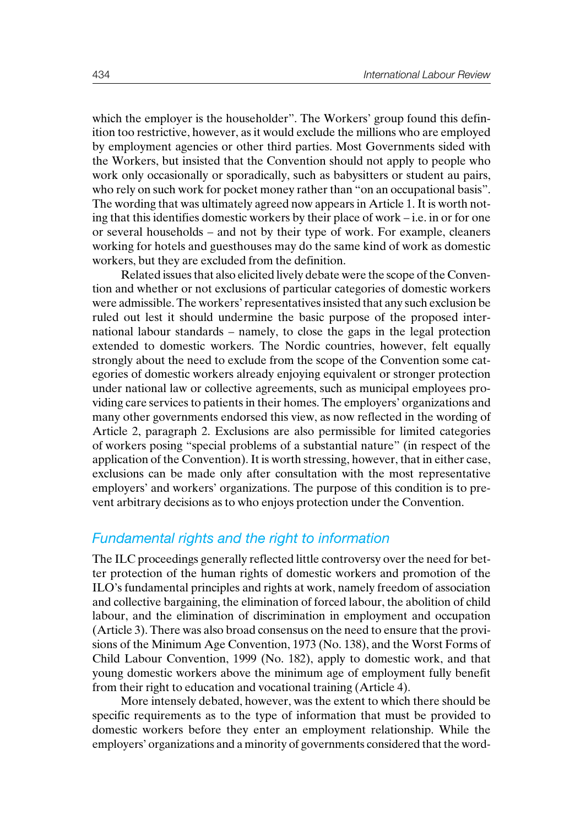which the employer is the householder". The Workers' group found this definition too restrictive, however, as it would exclude the millions who are employed by employment agencies or other third parties. Most Governments sided with the Workers, but insisted that the Convention should not apply to people who work only occasionally or sporadically, such as babysitters or student au pairs, who rely on such work for pocket money rather than "on an occupational basis". The wording that was ultimately agreed now appears in Article 1. It is worth noting that this identifies domestic workers by their place of work – i.e. in or for one or several households – and not by their type of work. For example, cleaners working for hotels and guesthouses may do the same kind of work as domestic workers, but they are excluded from the definition.

Related issues that also elicited lively debate were the scope of the Convention and whether or not exclusions of particular categories of domestic workers were admissible. The workers' representatives insisted that any such exclusion be ruled out lest it should undermine the basic purpose of the proposed international labour standards – namely, to close the gaps in the legal protection extended to domestic workers. The Nordic countries, however, felt equally strongly about the need to exclude from the scope of the Convention some categories of domestic workers already enjoying equivalent or stronger protection under national law or collective agreements, such as municipal employees providing care services to patients in their homes. The employers' organizations and many other governments endorsed this view, as now reflected in the wording of Article 2, paragraph 2. Exclusions are also permissible for limited categories of workers posing "special problems of a substantial nature" (in respect of the application of the Convention). It is worth stressing, however, that in either case, exclusions can be made only after consultation with the most representative employers' and workers' organizations. The purpose of this condition is to prevent arbitrary decisions as to who enjoys protection under the Convention.

## Fundamental rights and the right to information

The ILC proceedings generally reflected little controversy over the need for better protection of the human rights of domestic workers and promotion of the ILO's fundamental principles and rights at work, namely freedom of association and collective bargaining, the elimination of forced labour, the abolition of child labour, and the elimination of discrimination in employment and occupation (Article 3). There was also broad consensus on the need to ensure that the provisions of the Minimum Age Convention, 1973 (No. 138), and the Worst Forms of Child Labour Convention, 1999 (No. 182), apply to domestic work, and that young domestic workers above the minimum age of employment fully benefit from their right to education and vocational training (Article 4).

More intensely debated, however, was the extent to which there should be specific requirements as to the type of information that must be provided to domestic workers before they enter an employment relationship. While the employers' organizations and a minority of governments considered that the word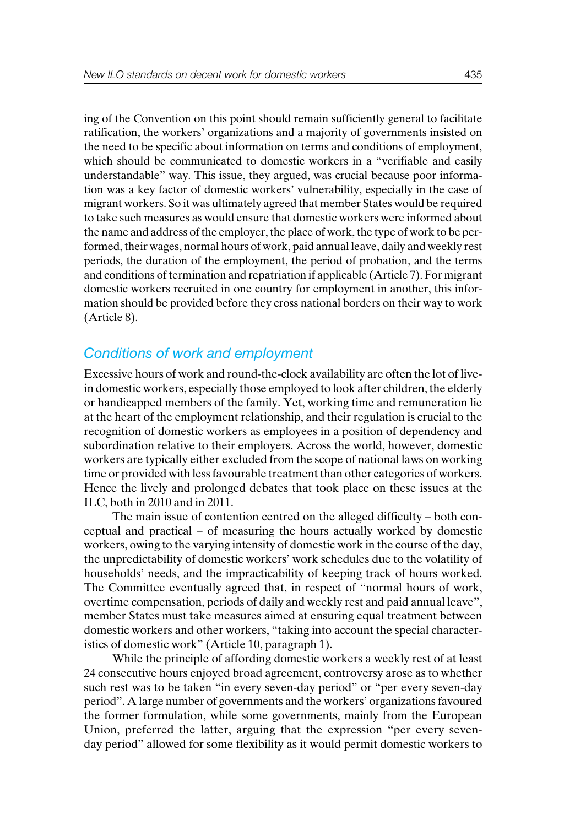ing of the Convention on this point should remain sufficiently general to facilitate ratification, the workers' organizations and a majority of governments insisted on the need to be specific about information on terms and conditions of employment, which should be communicated to domestic workers in a "verifiable and easily understandable" way. This issue, they argued, was crucial because poor information was a key factor of domestic workers' vulnerability, especially in the case of migrant workers. So it was ultimately agreed that member States would be required to take such measures as would ensure that domestic workers were informed about the name and address of the employer, the place of work, the type of work to be performed, their wages, normal hours of work, paid annual leave, daily and weekly rest periods, the duration of the employment, the period of probation, and the terms and conditions of termination and repatriation if applicable (Article 7). For migrant domestic workers recruited in one country for employment in another, this information should be provided before they cross national borders on their way to work (Article 8).

## Conditions of work and employment

Excessive hours of work and round-the-clock availability are often the lot of livein domestic workers, especially those employed to look after children, the elderly or handicapped members of the family. Yet, working time and remuneration lie at the heart of the employment relationship, and their regulation is crucial to the recognition of domestic workers as employees in a position of dependency and subordination relative to their employers. Across the world, however, domestic workers are typically either excluded from the scope of national laws on working time or provided with less favourable treatment than other categories of workers. Hence the lively and prolonged debates that took place on these issues at the ILC, both in 2010 and in 2011.

The main issue of contention centred on the alleged difficulty – both conceptual and practical – of measuring the hours actually worked by domestic workers, owing to the varying intensity of domestic work in the course of the day, the unpredictability of domestic workers' work schedules due to the volatility of households' needs, and the impracticability of keeping track of hours worked. The Committee eventually agreed that, in respect of "normal hours of work, overtime compensation, periods of daily and weekly rest and paid annual leave", member States must take measures aimed at ensuring equal treatment between domestic workers and other workers, "taking into account the special characteristics of domestic work" (Article 10, paragraph 1).

While the principle of affording domestic workers a weekly rest of at least 24 consecutive hours enjoyed broad agreement, controversy arose as to whether such rest was to be taken "in every seven-day period" or "per every seven-day period". A large number of governments and the workers' organizations favoured the former formulation, while some governments, mainly from the European Union, preferred the latter, arguing that the expression "per every sevenday period" allowed for some flexibility as it would permit domestic workers to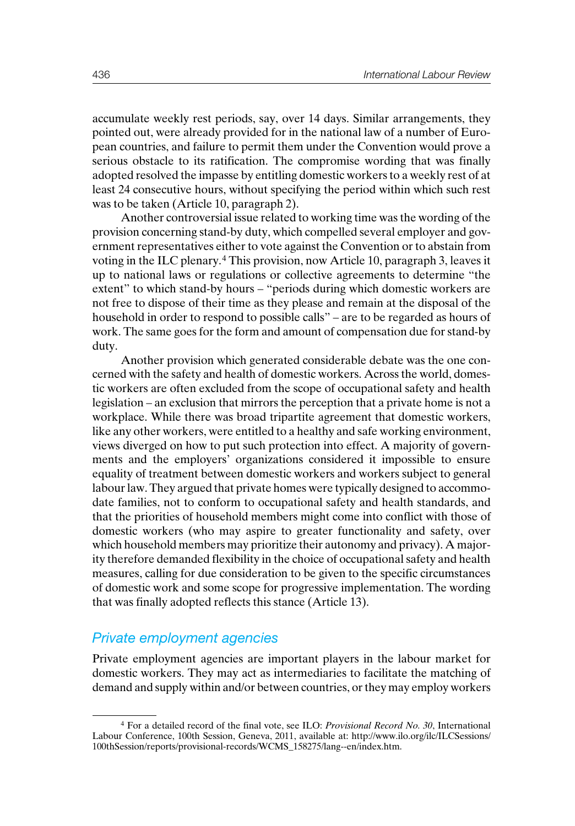accumulate weekly rest periods, say, over 14 days. Similar arrangements, they pointed out, were already provided for in the national law of a number of European countries, and failure to permit them under the Convention would prove a serious obstacle to its ratification. The compromise wording that was finally adopted resolved the impasse by entitling domestic workers to a weekly rest of at least 24 consecutive hours, without specifying the period within which such rest was to be taken (Article 10, paragraph 2).

Another controversial issue related to working time was the wording of the provision concerning stand-by duty, which compelled several employer and government representatives either to vote against the Convention or to abstain from voting in the ILC plenary.4 This provision, now Article 10, paragraph 3, leaves it up to national laws or regulations or collective agreements to determine "the extent" to which stand-by hours – "periods during which domestic workers are not free to dispose of their time as they please and remain at the disposal of the household in order to respond to possible calls" – are to be regarded as hours of work. The same goes for the form and amount of compensation due for stand-by duty.

Another provision which generated considerable debate was the one concerned with the safety and health of domestic workers. Across the world, domestic workers are often excluded from the scope of occupational safety and health legislation – an exclusion that mirrors the perception that a private home is not a workplace. While there was broad tripartite agreement that domestic workers, like any other workers, were entitled to a healthy and safe working environment, views diverged on how to put such protection into effect. A majority of governments and the employers' organizations considered it impossible to ensure equality of treatment between domestic workers and workers subject to general labour law. They argued that private homes were typically designed to accommodate families, not to conform to occupational safety and health standards, and that the priorities of household members might come into conflict with those of domestic workers (who may aspire to greater functionality and safety, over which household members may prioritize their autonomy and privacy). A majority therefore demanded flexibility in the choice of occupational safety and health measures, calling for due consideration to be given to the specific circumstances of domestic work and some scope for progressive implementation. The wording that was finally adopted reflects this stance (Article 13).

#### Private employment agencies

Private employment agencies are important players in the labour market for domestic workers. They may act as intermediaries to facilitate the matching of demand and supply within and/or between countries, or they may employ workers

<sup>4</sup> For a detailed record of the final vote, see ILO: *Provisional Record No. 30*, International Labour Conference, 100th Session, Geneva, 2011, available at: http://www.ilo.org/ilc/ILCSessions/ 100thSession/reports/provisional-records/WCMS\_158275/lang--en/index.htm.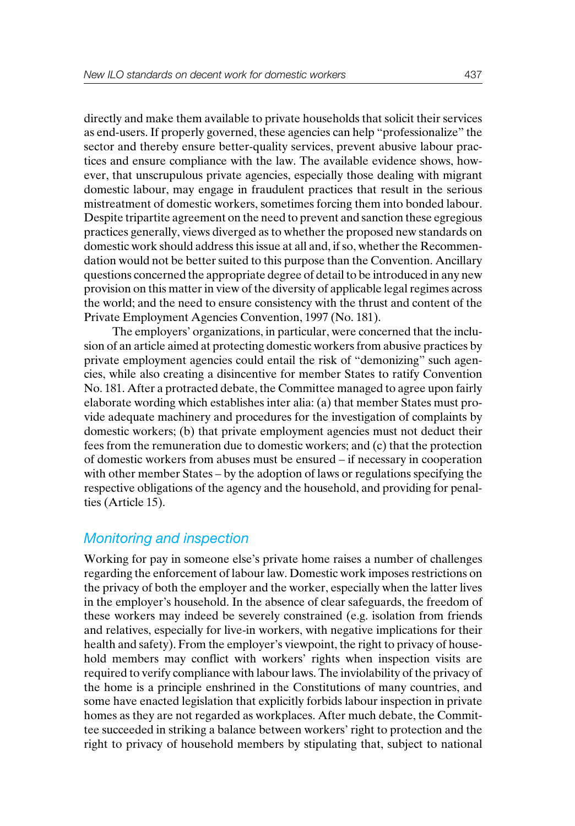directly and make them available to private households that solicit their services as end-users. If properly governed, these agencies can help "professionalize" the sector and thereby ensure better-quality services, prevent abusive labour practices and ensure compliance with the law. The available evidence shows, however, that unscrupulous private agencies, especially those dealing with migrant domestic labour, may engage in fraudulent practices that result in the serious mistreatment of domestic workers, sometimes forcing them into bonded labour. Despite tripartite agreement on the need to prevent and sanction these egregious practices generally, views diverged as to whether the proposed new standards on domestic work should address this issue at all and, if so, whether the Recommendation would not be better suited to this purpose than the Convention. Ancillary questions concerned the appropriate degree of detail to be introduced in any new provision on this matter in view of the diversity of applicable legal regimes across the world; and the need to ensure consistency with the thrust and content of the Private Employment Agencies Convention, 1997 (No. 181).

The employers' organizations, in particular, were concerned that the inclusion of an article aimed at protecting domestic workers from abusive practices by private employment agencies could entail the risk of "demonizing" such agencies, while also creating a disincentive for member States to ratify Convention No. 181. After a protracted debate, the Committee managed to agree upon fairly elaborate wording which establishes inter alia: (a) that member States must provide adequate machinery and procedures for the investigation of complaints by domestic workers; (b) that private employment agencies must not deduct their fees from the remuneration due to domestic workers; and (c) that the protection of domestic workers from abuses must be ensured – if necessary in cooperation with other member States – by the adoption of laws or regulations specifying the respective obligations of the agency and the household, and providing for penalties (Article 15).

## Monitoring and inspection

Working for pay in someone else's private home raises a number of challenges regarding the enforcement of labour law. Domestic work imposes restrictions on the privacy of both the employer and the worker, especially when the latter lives in the employer's household. In the absence of clear safeguards, the freedom of these workers may indeed be severely constrained (e.g. isolation from friends and relatives, especially for live-in workers, with negative implications for their health and safety). From the employer's viewpoint, the right to privacy of household members may conflict with workers' rights when inspection visits are required to verify compliance with labour laws. The inviolability of the privacy of the home is a principle enshrined in the Constitutions of many countries, and some have enacted legislation that explicitly forbids labour inspection in private homes as they are not regarded as workplaces. After much debate, the Committee succeeded in striking a balance between workers' right to protection and the right to privacy of household members by stipulating that, subject to national